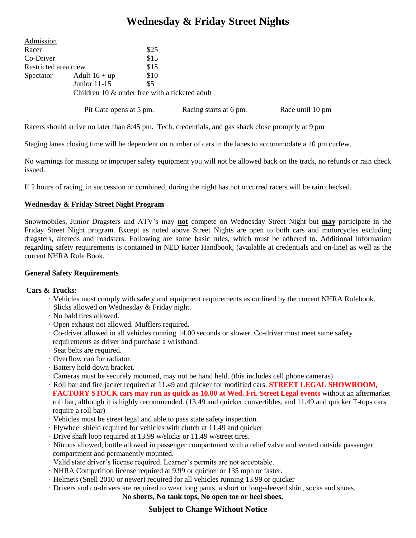# **Wednesday & Friday Street Nights**

| Admission            |                                                |      |                        |                  |
|----------------------|------------------------------------------------|------|------------------------|------------------|
| Racer                |                                                | \$25 |                        |                  |
| Co-Driver            |                                                | \$15 |                        |                  |
| Restricted area crew |                                                | \$15 |                        |                  |
| Spectator            | Adult $16 + up$                                | \$10 |                        |                  |
|                      | Junior $11-15$                                 | \$5  |                        |                  |
|                      | Children 10 & under free with a ticketed adult |      |                        |                  |
|                      | Pit Gate opens at 5 pm.                        |      | Racing starts at 6 pm. | Race until 10 pm |

Racers should arrive no later than 8:45 pm. Tech, credentials, and gas shack close promptly at 9 pm

Staging lanes closing time will be dependent on number of cars in the lanes to accommodate a 10 pm curfew.

No warnings for missing or improper safety equipment you will not be allowed back on the track, no refunds or rain check issued.

If 2 hours of racing, in succession or combined, during the night has not occurred racers will be rain checked.

### **Wednesday & Friday Street Night Program**

Snowmobiles, Junior Dragsters and ATV's may **not** compete on Wednesday Street Night but **may** participate in the Friday Street Night program. Except as noted above Street Nights are open to both cars and motorcycles excluding dragsters, altereds and roadsters. Following are some basic rules, which must be adhered to. Additional information regarding safety requirements is contained in NED Racer Handbook, (available at credentials and on-line) as well as the current NHRA Rule Book.

#### **General Safety Requirements**

#### **Cars & Trucks:**

- · Vehicles must comply with safety and equipment requirements as outlined by the current NHRA Rulebook.
- · Slicks allowed on Wednesday & Friday night.
- · No bald tires allowed.
- · Open exhaust not allowed. Mufflers required.
- · Co-driver allowed in all vehicles running 14.00 seconds or slower. Co-driver must meet same safety requirements as driver and purchase a wristband.
- · Seat belts are required.
- · Overflow can for radiator.
- · Battery hold down bracket.
- · Cameras must be securely mounted, may not be hand held. (this includes cell phone cameras)

· Roll bar and fire jacket required at 11.49 and quicker for modified cars. **STREET LEGAL SHOWROOM, FACTORY STOCK cars may run as quick as 10.00 at Wed. Fri. Street Legal events** without an aftermarket roll bar, although it is highly recommended. (13.49 and quicker convertibles, and 11.49 and quicker T-tops cars require a roll bar)

- · Vehicles must be street legal and able to pass state safety inspection.
- · Flywheel shield required for vehicles with clutch at 11.49 and quicker
- · Drive shaft loop required at 13.99 w/slicks or 11.49 w/street tires.
- · Nitrous allowed, bottle allowed in passenger compartment with a relief valve and vented outside passenger compartment and permanently mounted.
- · Valid state driver's license required. Learner's permits are not acceptable.
- · NHRA Competition license required at 9.99 or quicker or 135 mph or faster.
- · Helmets (Snell 2010 or newer) required for all vehicles running 13.99 or quicker
- · Drivers and co-drivers are required to wear long pants, a short or long-sleeved shirt, socks and shoes.

#### **No shorts, No tank tops, No open toe or heel shoes.**

## **Subject to Change Without Notice**